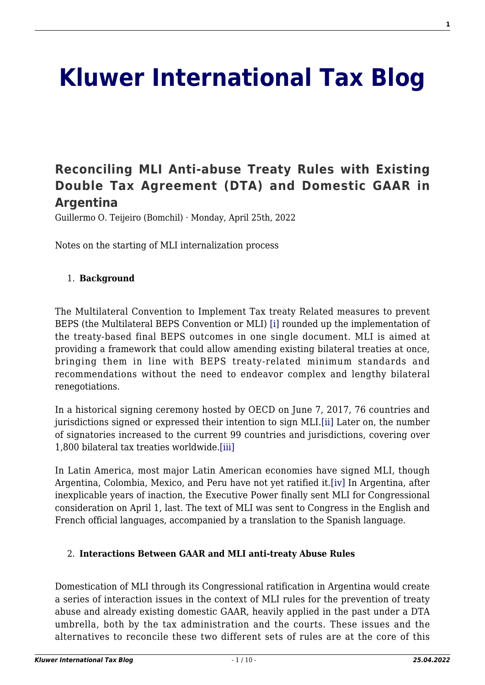# **[Kluwer International Tax Blog](http://kluwertaxblog.com/)**

# **[Reconciling MLI Anti-abuse Treaty Rules with Existing](http://kluwertaxblog.com/2022/04/25/reconciling-mli-anti-abuse-treaty-rules-with-existing-double-tax-agreement-dta-and-domestic-gaar-in-argentina/) [Double Tax Agreement \(DTA\) and Domestic GAAR in](http://kluwertaxblog.com/2022/04/25/reconciling-mli-anti-abuse-treaty-rules-with-existing-double-tax-agreement-dta-and-domestic-gaar-in-argentina/) [Argentina](http://kluwertaxblog.com/2022/04/25/reconciling-mli-anti-abuse-treaty-rules-with-existing-double-tax-agreement-dta-and-domestic-gaar-in-argentina/)**

Guillermo O. Teijeiro (Bomchil) · Monday, April 25th, 2022

Notes on the starting of MLI internalization process

#### 1. **Background**

<span id="page-0-0"></span>The Multilateral Convention to Implement Tax treaty Related measures to prevent BEPS (the Multilateral BEPS Convention or MLI) [\[i\]](#page-5-0) rounded up the implementation of the treaty-based final BEPS outcomes in one single document. MLI is aimed at providing a framework that could allow amending existing bilateral treaties at once, bringing them in line with BEPS treaty-related minimum standards and recommendations without the need to endeavor complex and lengthy bilateral renegotiations.

<span id="page-0-1"></span>In a historical signing ceremony hosted by OECD on June 7, 2017, 76 countries and jurisdictions signed or expressed their intention to sign MLI.[\[ii\]](#page-5-1) Later on, the number of signatories increased to the current 99 countries and jurisdictions, covering over 1,800 bilateral tax treaties worldwide.[\[iii\]](#page-5-2)

<span id="page-0-3"></span><span id="page-0-2"></span>In Latin America, most major Latin American economies have signed MLI, though Argentina, Colombia, Mexico, and Peru have not yet ratified it[.\[iv\]](#page-5-3) In Argentina, after inexplicable years of inaction, the Executive Power finally sent MLI for Congressional consideration on April 1, last. The text of MLI was sent to Congress in the English and French official languages, accompanied by a translation to the Spanish language.

#### 2. **Interactions Between GAAR and MLI anti-treaty Abuse Rules**

Domestication of MLI through its Congressional ratification in Argentina would create a series of interaction issues in the context of MLI rules for the prevention of treaty abuse and already existing domestic GAAR, heavily applied in the past under a DTA umbrella, both by the tax administration and the courts. These issues and the alternatives to reconcile these two different sets of rules are at the core of this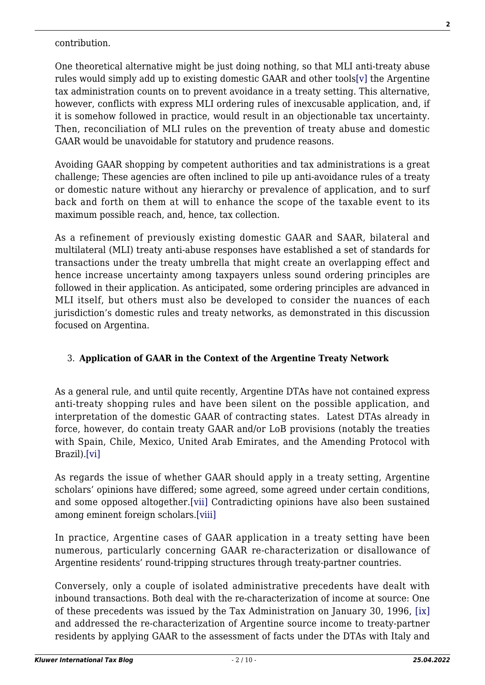<span id="page-1-0"></span>One theoretical alternative might be just doing nothing, so that MLI anti-treaty abuse rules would simply add up to existing domestic GAAR and other tools[\[v\]](#page-5-4) the Argentine tax administration counts on to prevent avoidance in a treaty setting. This alternative, however, conflicts with express MLI ordering rules of inexcusable application, and, if it is somehow followed in practice, would result in an objectionable tax uncertainty. Then, reconciliation of MLI rules on the prevention of treaty abuse and domestic GAAR would be unavoidable for statutory and prudence reasons.

Avoiding GAAR shopping by competent authorities and tax administrations is a great challenge; These agencies are often inclined to pile up anti-avoidance rules of a treaty or domestic nature without any hierarchy or prevalence of application, and to surf back and forth on them at will to enhance the scope of the taxable event to its maximum possible reach, and, hence, tax collection.

As a refinement of previously existing domestic GAAR and SAAR, bilateral and multilateral (MLI) treaty anti-abuse responses have established a set of standards for transactions under the treaty umbrella that might create an overlapping effect and hence increase uncertainty among taxpayers unless sound ordering principles are followed in their application. As anticipated, some ordering principles are advanced in MLI itself, but others must also be developed to consider the nuances of each jurisdiction's domestic rules and treaty networks, as demonstrated in this discussion focused on Argentina.

#### 3. **Application of GAAR in the Context of the Argentine Treaty Network**

As a general rule, and until quite recently, Argentine DTAs have not contained express anti-treaty shopping rules and have been silent on the possible application, and interpretation of the domestic GAAR of contracting states. Latest DTAs already in force, however, do contain treaty GAAR and/or LoB provisions (notably the treaties with Spain, Chile, Mexico, United Arab Emirates, and the Amending Protocol with Brazil).[\[vi\]](#page-5-5)

<span id="page-1-2"></span><span id="page-1-1"></span>As regards the issue of whether GAAR should apply in a treaty setting, Argentine scholars' opinions have differed; some agreed, some agreed under certain conditions, and some opposed altogether.[\[vii\]](#page-5-6) Contradicting opinions have also been sustained among eminent foreign scholars[.\[viii\]](#page-6-0)

<span id="page-1-3"></span>In practice, Argentine cases of GAAR application in a treaty setting have been numerous, particularly concerning GAAR re-characterization or disallowance of Argentine residents' round-tripping structures through treaty-partner countries.

<span id="page-1-4"></span>Conversely, only a couple of isolated administrative precedents have dealt with inbound transactions. Both deal with the re-characterization of income at source: One of these precedents was issued by the Tax Administration on January 30, 1996, [\[ix\]](#page-6-1) and addressed the re-characterization of Argentine source income to treaty-partner residents by applying GAAR to the assessment of facts under the DTAs with Italy and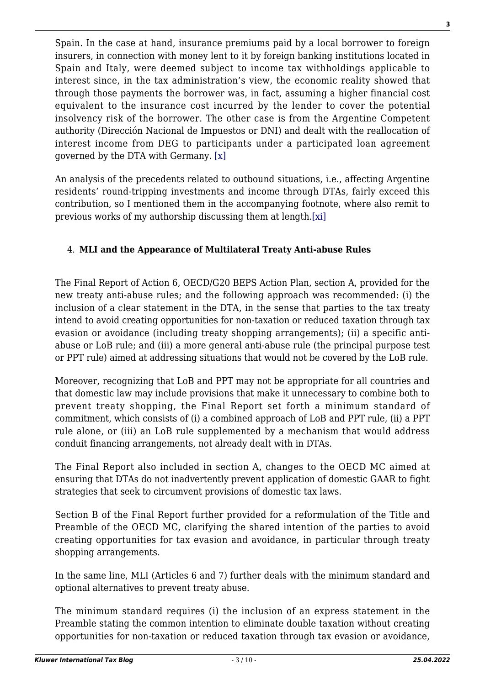Spain. In the case at hand, insurance premiums paid by a local borrower to foreign insurers, in connection with money lent to it by foreign banking institutions located in Spain and Italy, were deemed subject to income tax withholdings applicable to interest since, in the tax administration's view, the economic reality showed that through those payments the borrower was, in fact, assuming a higher financial cost equivalent to the insurance cost incurred by the lender to cover the potential insolvency risk of the borrower. The other case is from the Argentine Competent authority (Dirección Nacional de Impuestos or DNI) and dealt with the reallocation of interest income from DEG to participants under a participated loan agreement governed by the DTA with Germany. [\[x\]](#page-6-2)

<span id="page-2-1"></span><span id="page-2-0"></span>An analysis of the precedents related to outbound situations, i.e., affecting Argentine residents' round-tripping investments and income through DTAs, fairly exceed this contribution, so I mentioned them in the accompanying footnote, where also remit to previous works of my authorship discussing them at length[.\[xi\]](#page-6-3)

## 4. **MLI and the Appearance of Multilateral Treaty Anti-abuse Rules**

The Final Report of Action 6, OECD/G20 BEPS Action Plan, section A, provided for the new treaty anti-abuse rules; and the following approach was recommended: (i) the inclusion of a clear statement in the DTA, in the sense that parties to the tax treaty intend to avoid creating opportunities for non-taxation or reduced taxation through tax evasion or avoidance (including treaty shopping arrangements); (ii) a specific antiabuse or LoB rule; and (iii) a more general anti-abuse rule (the principal purpose test or PPT rule) aimed at addressing situations that would not be covered by the LoB rule.

Moreover, recognizing that LoB and PPT may not be appropriate for all countries and that domestic law may include provisions that make it unnecessary to combine both to prevent treaty shopping, the Final Report set forth a minimum standard of commitment, which consists of (i) a combined approach of LoB and PPT rule, (ii) a PPT rule alone, or (iii) an LoB rule supplemented by a mechanism that would address conduit financing arrangements, not already dealt with in DTAs.

The Final Report also included in section A, changes to the OECD MC aimed at ensuring that DTAs do not inadvertently prevent application of domestic GAAR to fight strategies that seek to circumvent provisions of domestic tax laws.

Section B of the Final Report further provided for a reformulation of the Title and Preamble of the OECD MC, clarifying the shared intention of the parties to avoid creating opportunities for tax evasion and avoidance, in particular through treaty shopping arrangements.

In the same line, MLI (Articles 6 and 7) further deals with the minimum standard and optional alternatives to prevent treaty abuse.

The minimum standard requires (i) the inclusion of an express statement in the Preamble stating the common intention to eliminate double taxation without creating opportunities for non-taxation or reduced taxation through tax evasion or avoidance,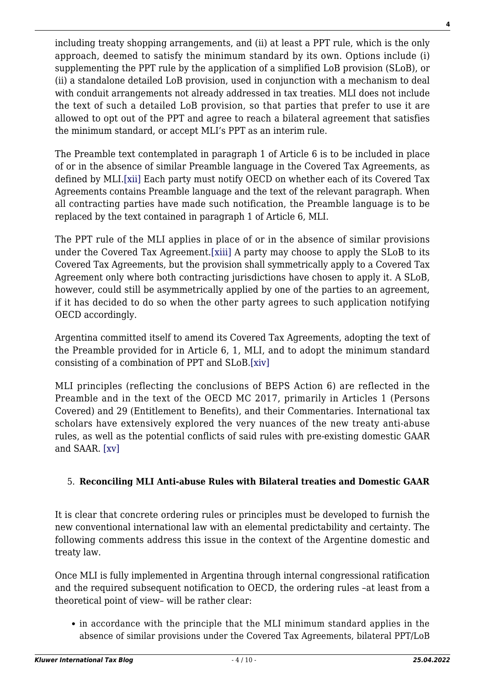including treaty shopping arrangements, and (ii) at least a PPT rule, which is the only approach, deemed to satisfy the minimum standard by its own. Options include (i) supplementing the PPT rule by the application of a simplified LoB provision (SLoB), or (ii) a standalone detailed LoB provision, used in conjunction with a mechanism to deal with conduit arrangements not already addressed in tax treaties. MLI does not include the text of such a detailed LoB provision, so that parties that prefer to use it are allowed to opt out of the PPT and agree to reach a bilateral agreement that satisfies the minimum standard, or accept MLI's PPT as an interim rule.

<span id="page-3-0"></span>The Preamble text contemplated in paragraph 1 of Article 6 is to be included in place of or in the absence of similar Preamble language in the Covered Tax Agreements, as defined by MLI[.\[xii\]](#page-6-4) Each party must notify OECD on whether each of its Covered Tax Agreements contains Preamble language and the text of the relevant paragraph. When all contracting parties have made such notification, the Preamble language is to be replaced by the text contained in paragraph 1 of Article 6, MLI.

<span id="page-3-1"></span>The PPT rule of the MLI applies in place of or in the absence of similar provisions under the Covered Tax Agreement[.\[xiii\]](#page-7-0) A party may choose to apply the SLoB to its Covered Tax Agreements, but the provision shall symmetrically apply to a Covered Tax Agreement only where both contracting jurisdictions have chosen to apply it. A SLoB, however, could still be asymmetrically applied by one of the parties to an agreement. if it has decided to do so when the other party agrees to such application notifying OECD accordingly.

Argentina committed itself to amend its Covered Tax Agreements, adopting the text of the Preamble provided for in Article 6, 1, MLI, and to adopt the minimum standard consisting of a combination of PPT and SLoB.[\[xiv\]](#page-7-1)

<span id="page-3-2"></span>MLI principles (reflecting the conclusions of BEPS Action 6) are reflected in the Preamble and in the text of the OECD MC 2017, primarily in Articles 1 (Persons Covered) and 29 (Entitlement to Benefits), and their Commentaries. International tax scholars have extensively explored the very nuances of the new treaty anti-abuse rules, as well as the potential conflicts of said rules with pre-existing domestic GAAR and SAAR. [\[xv\]](#page-7-2)

# <span id="page-3-3"></span>5. **Reconciling MLI Anti-abuse Rules with Bilateral treaties and Domestic GAAR**

It is clear that concrete ordering rules or principles must be developed to furnish the new conventional international law with an elemental predictability and certainty. The following comments address this issue in the context of the Argentine domestic and treaty law.

Once MLI is fully implemented in Argentina through internal congressional ratification and the required subsequent notification to OECD, the ordering rules –at least from a theoretical point of view– will be rather clear:

• in accordance with the principle that the MLI minimum standard applies in the absence of similar provisions under the Covered Tax Agreements, bilateral PPT/LoB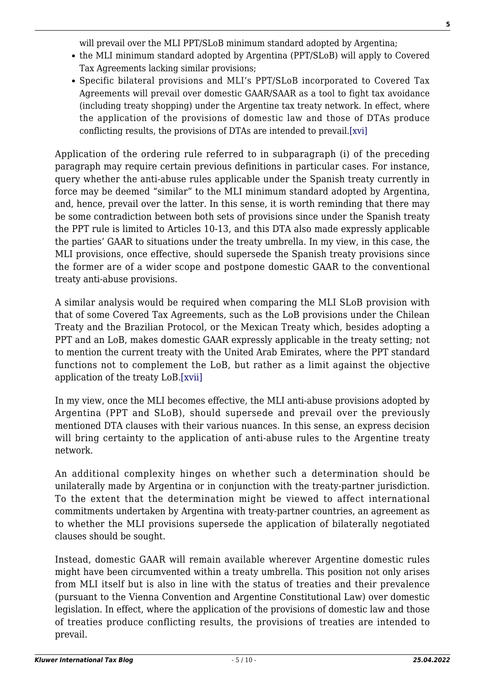will prevail over the MLI PPT/SLoB minimum standard adopted by Argentina;

- the MLI minimum standard adopted by Argentina (PPT/SLoB) will apply to Covered Tax Agreements lacking similar provisions;
- Specific bilateral provisions and MLI's PPT/SLoB incorporated to Covered Tax Agreements will prevail over domestic GAAR/SAAR as a tool to fight tax avoidance (including treaty shopping) under the Argentine tax treaty network. In effect, where the application of the provisions of domestic law and those of DTAs produce conflicting results, the provisions of DTAs are intended to prevail[.\[xvi\]](#page-7-3)

<span id="page-4-0"></span>Application of the ordering rule referred to in subparagraph (i) of the preceding paragraph may require certain previous definitions in particular cases. For instance, query whether the anti-abuse rules applicable under the Spanish treaty currently in force may be deemed "similar" to the MLI minimum standard adopted by Argentina, and, hence, prevail over the latter. In this sense, it is worth reminding that there may be some contradiction between both sets of provisions since under the Spanish treaty the PPT rule is limited to Articles 10-13, and this DTA also made expressly applicable the parties' GAAR to situations under the treaty umbrella. In my view, in this case, the MLI provisions, once effective, should supersede the Spanish treaty provisions since the former are of a wider scope and postpone domestic GAAR to the conventional treaty anti-abuse provisions.

A similar analysis would be required when comparing the MLI SLoB provision with that of some Covered Tax Agreements, such as the LoB provisions under the Chilean Treaty and the Brazilian Protocol, or the Mexican Treaty which, besides adopting a PPT and an LoB, makes domestic GAAR expressly applicable in the treaty setting; not to mention the current treaty with the United Arab Emirates, where the PPT standard functions not to complement the LoB, but rather as a limit against the objective application of the treaty LoB[.\[xvii\]](#page-7-4)

<span id="page-4-1"></span>In my view, once the MLI becomes effective, the MLI anti-abuse provisions adopted by Argentina (PPT and SLoB), should supersede and prevail over the previously mentioned DTA clauses with their various nuances. In this sense, an express decision will bring certainty to the application of anti-abuse rules to the Argentine treaty network.

An additional complexity hinges on whether such a determination should be unilaterally made by Argentina or in conjunction with the treaty-partner jurisdiction. To the extent that the determination might be viewed to affect international commitments undertaken by Argentina with treaty-partner countries, an agreement as to whether the MLI provisions supersede the application of bilaterally negotiated clauses should be sought.

Instead, domestic GAAR will remain available wherever Argentine domestic rules might have been circumvented within a treaty umbrella. This position not only arises from MLI itself but is also in line with the status of treaties and their prevalence (pursuant to the Vienna Convention and Argentine Constitutional Law) over domestic legislation. In effect, where the application of the provisions of domestic law and those of treaties produce conflicting results, the provisions of treaties are intended to prevail.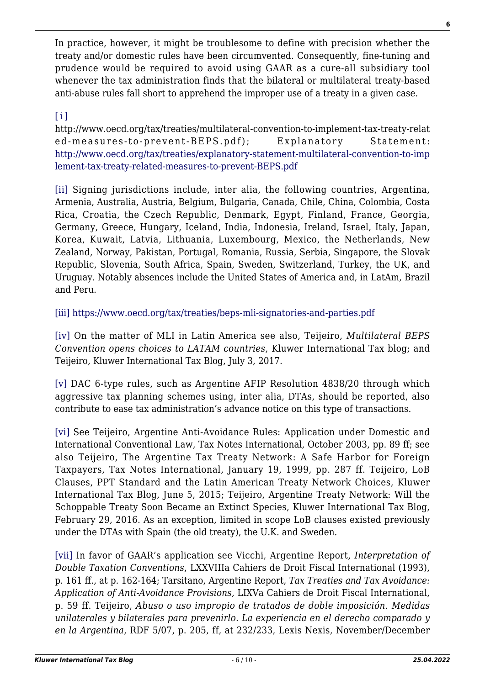In practice, however, it might be troublesome to define with precision whether the treaty and/or domestic rules have been circumvented. Consequently, fine-tuning and prudence would be required to avoid using GAAR as a cure-all subsidiary tool whenever the tax administration finds that the bilateral or multilateral treaty-based anti-abuse rules fall short to apprehend the improper use of a treaty in a given case.

### <span id="page-5-0"></span> $[i]$

http://www.oecd.org/tax/treaties/multilateral-convention-to-implement-tax-treaty-relat ed-measures-to-prevent-BEPS.pdf); Explanatory Statement: [http://www.oecd.org/tax/treaties/explanatory-statement-multilateral-convention-to-imp](http://www.oecd.org/tax/treaties/explanatory-statement-multilateral-convention-to-implement-tax-treaty-related-measures-to-prevent-BEPS.pdf) [lement-tax-treaty-related-measures-to-prevent-BEPS.pdf](http://www.oecd.org/tax/treaties/explanatory-statement-multilateral-convention-to-implement-tax-treaty-related-measures-to-prevent-BEPS.pdf)

<span id="page-5-1"></span>[\[ii\]](#page-0-1) Signing jurisdictions include, inter alia, the following countries, Argentina, Armenia, Australia, Austria, Belgium, Bulgaria, Canada, Chile, China, Colombia, Costa Rica, Croatia, the Czech Republic, Denmark, Egypt, Finland, France, Georgia, Germany, Greece, Hungary, Iceland, India, Indonesia, Ireland, Israel, Italy, Japan, Korea, Kuwait, Latvia, Lithuania, Luxembourg, Mexico, the Netherlands, New Zealand, Norway, Pakistan, Portugal, Romania, Russia, Serbia, Singapore, the Slovak Republic, Slovenia, South Africa, Spain, Sweden, Switzerland, Turkey, the UK, and Uruguay. Notably absences include the United States of America and, in LatAm, Brazil and Peru.

<span id="page-5-2"></span>[\[iii\]](#page-0-2) <https://www.oecd.org/tax/treaties/beps-mli-signatories-and-parties.pdf>

<span id="page-5-3"></span>[\[iv\]](#page-0-3) On the matter of MLI in Latin America see also, Teijeiro, *Multilateral BEPS Convention opens choices to LATAM countries*, Kluwer International Tax blog; and Teijeiro, Kluwer International Tax Blog, July 3, 2017.

<span id="page-5-4"></span>[\[v\]](#page-1-0) DAC 6-type rules, such as Argentine AFIP Resolution 4838/20 through which aggressive tax planning schemes using, inter alia, DTAs, should be reported, also contribute to ease tax administration's advance notice on this type of transactions.

<span id="page-5-5"></span>[\[vi\]](#page-1-1) See Teijeiro, Argentine Anti-Avoidance Rules: Application under Domestic and International Conventional Law, Tax Notes International, October 2003, pp. 89 ff; see also Teijeiro, The Argentine Tax Treaty Network: A Safe Harbor for Foreign Taxpayers, Tax Notes International, January 19, 1999, pp. 287 ff. Teijeiro, LoB Clauses, PPT Standard and the Latin American Treaty Network Choices, Kluwer International Tax Blog, June 5, 2015; Teijeiro, Argentine Treaty Network: Will the Schoppable Treaty Soon Became an Extinct Species, Kluwer International Tax Blog, February 29, 2016. As an exception, limited in scope LoB clauses existed previously under the DTAs with Spain (the old treaty), the U.K. and Sweden.

<span id="page-5-6"></span>[\[vii\]](#page-1-2) In favor of GAAR's application see Vicchi, Argentine Report*, Interpretation of Double Taxation Conventions*, LXXVIIIa Cahiers de Droit Fiscal International (1993), p. 161 ff., at p. 162-164; Tarsitano, Argentine Report, *Tax Treaties and Tax Avoidance: Application of Anti-Avoidance Provisions,* LIXVa Cahiers de Droit Fiscal International, p. 59 ff. Teijeiro, *Abuso o uso impropio de tratados de doble imposición. Medidas unilaterales y bilaterales para prevenirlo. La experiencia en el derecho comparado y en la Argentina,* RDF 5/07, p. 205, ff, at 232/233, Lexis Nexis, November/December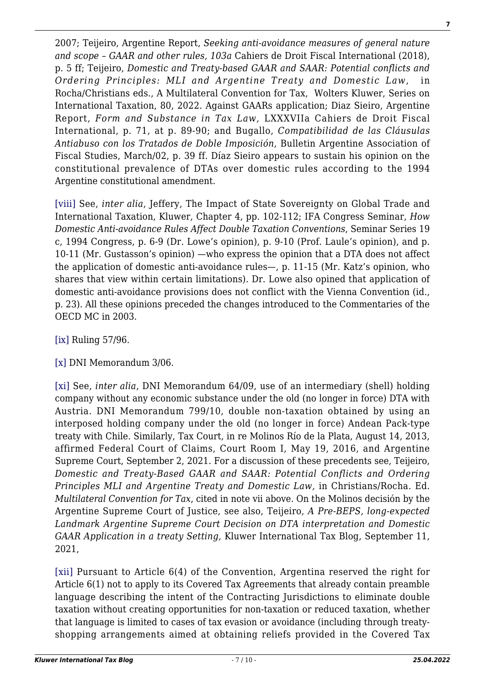2007; Teijeiro, Argentine Report, *Seeking anti-avoidance measures of general nature and scope – GAAR and other rules, 103a* Cahiers de Droit Fiscal International (2018), p. 5 ff; Teijeiro, *Domestic and Treaty-based GAAR and SAAR: Potential conflicts and Ordering Principles: MLI and Argentine Treaty and Domestic Law*, in Rocha/Christians eds., A Multilateral Convention for Tax, Wolters Kluwer, Series on International Taxation, 80, 2022. Against GAARs application; Diaz Sieiro, Argentine Report, *Form and Substance in Tax Law,* LXXXVIIa Cahiers de Droit Fiscal International, p. 71, at p. 89-90; and Bugallo, *Compatibilidad de las Cláusulas Antiabuso con los Tratados de Doble Imposición,* Bulletin Argentine Association of Fiscal Studies, March/02, p. 39 ff. Díaz Sieiro appears to sustain his opinion on the constitutional prevalence of DTAs over domestic rules according to the 1994 Argentine constitutional amendment.

<span id="page-6-0"></span>[\[viii\]](#page-1-3) See, *inter alia*, Jeffery, The Impact of State Sovereignty on Global Trade and International Taxation, Kluwer, Chapter 4, pp. 102-112; IFA Congress Seminar, *How Domestic Anti-avoidance Rules Affect Double Taxation Conventions*, Seminar Series 19 c, 1994 Congress, p. 6-9 (Dr. Lowe's opinion), p. 9-10 (Prof. Laule's opinion), and p. 10-11 (Mr. Gustasson's opinion) —who express the opinion that a DTA does not affect the application of domestic anti-avoidance rules—, p. 11-15 (Mr. Katz's opinion, who shares that view within certain limitations). Dr. Lowe also opined that application of domestic anti-avoidance provisions does not conflict with the Vienna Convention (id., p. 23). All these opinions preceded the changes introduced to the Commentaries of the OECD MC in 2003.

<span id="page-6-1"></span>[\[ix\]](#page-1-4) Ruling 57/96.

<span id="page-6-2"></span>[\[x\]](#page-2-0) DNI Memorandum 3/06.

<span id="page-6-3"></span>[\[xi\]](#page-2-1) See, *inter alia*, DNI Memorandum 64/09, use of an intermediary (shell) holding company without any economic substance under the old (no longer in force) DTA with Austria. DNI Memorandum 799/10, double non-taxation obtained by using an interposed holding company under the old (no longer in force) Andean Pack-type treaty with Chile. Similarly, Tax Court, in re Molinos Río de la Plata, August 14, 2013, affirmed Federal Court of Claims, Court Room I, May 19, 2016, and Argentine Supreme Court, September 2, 2021. For a discussion of these precedents see, Teijeiro, *Domestic and Treaty-Based GAAR and SAAR: Potential Conflicts and Ordering Principles MLI and Argentine Treaty and Domestic Law,* in Christians/Rocha. Ed. *Multilateral Convention for Tax*, cited in note vii above. On the Molinos decisión by the Argentine Supreme Court of Justice, see also, Teijeiro, *A Pre-BEPS, long-expected Landmark Argentine Supreme Court Decision on DTA interpretation and Domestic GAAR Application in a treaty Setting,* Kluwer International Tax Blog, September 11, 2021,

<span id="page-6-4"></span>[\[xii\]](#page-3-0) Pursuant to Article 6(4) of the Convention, Argentina reserved the right for Article 6(1) not to apply to its Covered Tax Agreements that already contain preamble language describing the intent of the Contracting Jurisdictions to eliminate double taxation without creating opportunities for non-taxation or reduced taxation, whether that language is limited to cases of tax evasion or avoidance (including through treatyshopping arrangements aimed at obtaining reliefs provided in the Covered Tax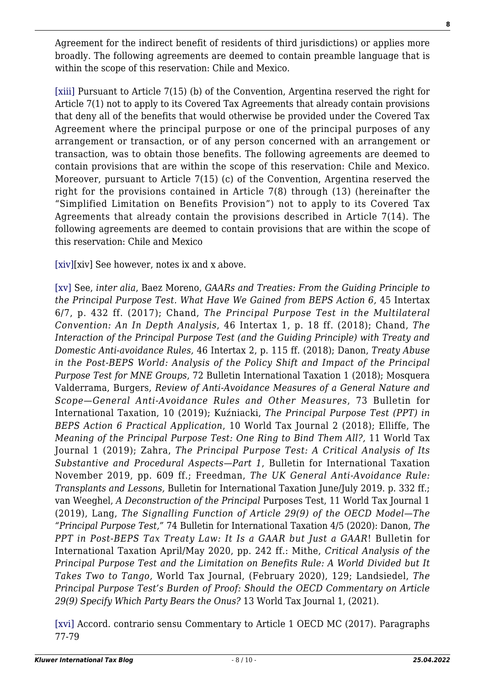Agreement for the indirect benefit of residents of third jurisdictions) or applies more broadly. The following agreements are deemed to contain preamble language that is within the scope of this reservation: Chile and Mexico.

<span id="page-7-0"></span>[\[xiii\]](#page-3-1) Pursuant to Article 7(15) (b) of the Convention, Argentina reserved the right for Article 7(1) not to apply to its Covered Tax Agreements that already contain provisions that deny all of the benefits that would otherwise be provided under the Covered Tax Agreement where the principal purpose or one of the principal purposes of any arrangement or transaction, or of any person concerned with an arrangement or transaction, was to obtain those benefits. The following agreements are deemed to contain provisions that are within the scope of this reservation: Chile and Mexico. Moreover, pursuant to Article 7(15) (c) of the Convention, Argentina reserved the right for the provisions contained in Article 7(8) through (13) (hereinafter the "Simplified Limitation on Benefits Provision") not to apply to its Covered Tax Agreements that already contain the provisions described in Article 7(14). The following agreements are deemed to contain provisions that are within the scope of this reservation: Chile and Mexico

<span id="page-7-1"></span>[\[xiv\]\[](#page-3-2)xiv] See however, notes ix and x above.

<span id="page-7-2"></span>[\[xv\]](#page-3-3) See, *inter alia*, Baez Moreno, *GAARs and Treaties: From the Guiding Principle to the Principal Purpose Test. What Have We Gained from BEPS Action 6,* 45 Intertax 6/7, p. 432 ff. (2017); Chand, *The Principal Purpose Test in the Multilateral Convention: An In Depth Analysis*, 46 Intertax 1, p. 18 ff. (2018); Chand, *The Interaction of the Principal Purpose Test (and the Guiding Principle) with Treaty and Domestic Anti-avoidance Rules,* 46 Intertax 2, p. 115 ff. (2018); Danon, *Treaty Abuse in the Post-BEPS World: Analysis of the Policy Shift and Impact of the Principal Purpose Test for MNE Groups*, 72 Bulletin International Taxation 1 (2018); Mosquera Valderrama, Burgers, *Review of Anti-Avoidance Measures of a General Nature and Scope—General Anti-Avoidance Rules and Other Measures*, 73 Bulletin for International Taxation, 10 (2019); Kuźniacki, *The Principal Purpose Test (PPT) in BEPS Action 6 Practical Application*, 10 World Tax Journal 2 (2018); Elliffe, The *Meaning of the Principal Purpose Test: One Ring to Bind Them All?,* 11 World Tax Journal 1 (2019); Zahra, *The Principal Purpose Test: A Critical Analysis of Its Substantive and Procedural Aspects—Part 1*, Bulletin for International Taxation November 2019, pp. 609 ff.; Freedman, *The UK General Anti-Avoidance Rule: Transplants and Lessons,* Bulletin for International Taxation June/July 2019. p. 332 ff.; van Weeghel, *A Deconstruction of the Principal* Purposes Test, 11 World Tax Journal 1 (2019), Lang, *The Signalling Function of Article 29(9) of the OECD Model—The "Principal Purpose Test,"* 74 Bulletin for International Taxation 4/5 (2020): Danon, *The PPT in Post-BEPS Tax Treaty Law: It Is a GAAR but Just a GAAR*! Bulletin for International Taxation April/May 2020, pp. 242 ff.: Mithe, *Critical Analysis of the Principal Purpose Test and the Limitation on Benefits Rule: A World Divided but It Takes Two to Tango,* World Tax Journal, (February 2020), 129; Landsiedel, *The Principal Purpose Test's Burden of Proof: Should the OECD Commentary on Article 29(9) Specify Which Party Bears the Onus?* 13 World Tax Journal 1, (2021).

<span id="page-7-4"></span><span id="page-7-3"></span>[\[xvi\]](#page-4-0) Accord. contrario sensu Commentary to Article 1 OECD MC (2017). Paragraphs 77-79